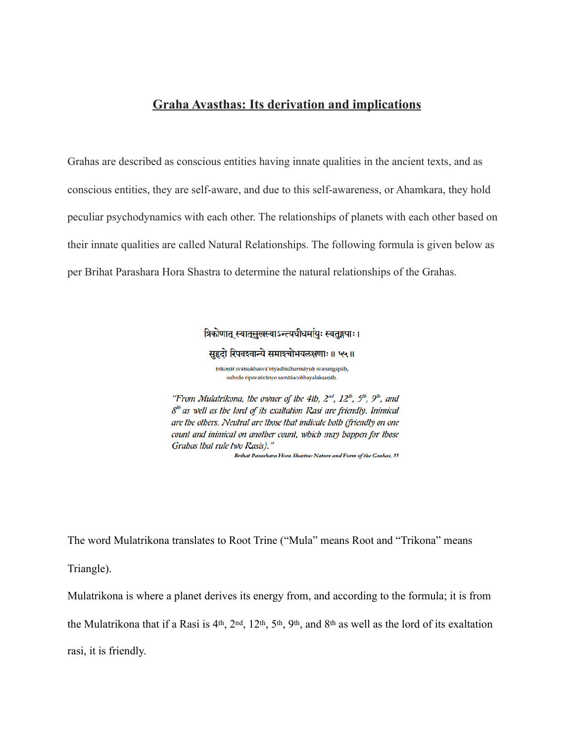# **Graha Avasthas: Its derivation and implications**

Grahas are described as conscious entities having innate qualities in the ancient texts, and as conscious entities, they are self-aware, and due to this self-awareness, or Ahamkara, they hold peculiar psychodynamics with each other. The relationships of planets with each other based on their innate qualities are called Natural Relationships. The following formula is given below as per Brihat Parashara Hora Shastra to determine the natural relationships of the Grahas.

त्रिकोणात् स्वातुसुखस्वाऽन्त्यधीधर्मायुः स्वतुङ्गपाः ।

सहृदो रिपवश्वान्ये समाश्चोभयलक्षणाः ॥ ५५॥

trikoņāt svātsukhasvā'ntyadhīdharmāyuḥ svatungapāḥ, suhrdo ripavaśvānye samāśacobhayalakṣaṇāḥ.

"From Mulatrikona, the owner of the 4th,  $2^{nd}$ ,  $12^{lb}$ ,  $5^{lb}$ ,  $9^{lb}$ , and  $\delta^{lb}$  as well as the lord of its exaliation Rasi are friendly. Inimical are the others. Neutral are those that indicate both (friendly on one count and inimical on another count, which may happen for those Grabas Ibal rule Iwo Rasis)."

Brihat Parashara Hora Shastra: Nature and Form of the Grahas, 55

The word Mulatrikona translates to Root Trine ("Mula" means Root and "Trikona" means

Triangle).

Mulatrikona is where a planet derives its energy from, and according to the formula; it is from

the Mulatrikona that if a Rasi is 4th, 2nd, 12th, 5th, 9th, and 8th as well as the lord of its exaltation

rasi, it is friendly.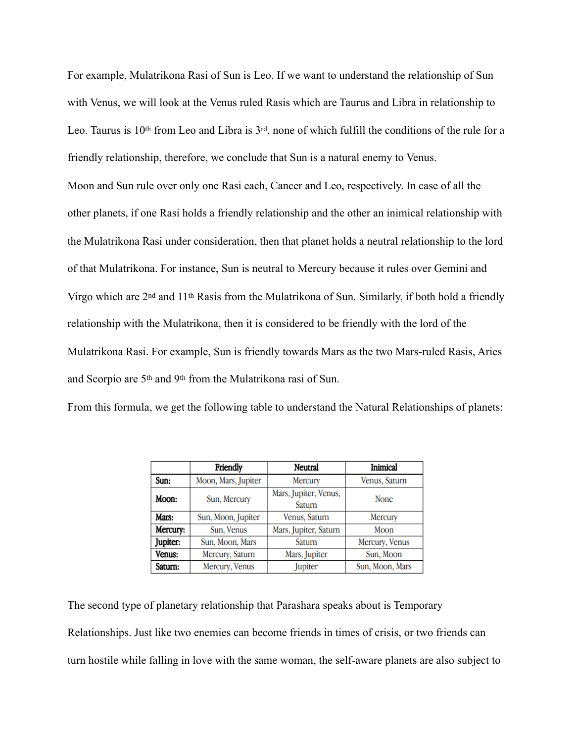For example, Mulatrikona Rasi of Sun is Leo. If we want to understand the relationship of Sun with Venus, we will look at the Venus ruled Rasis which are Taurus and Libra in relationship to Leo. Taurus is 10<sup>th</sup> from Leo and Libra is 3<sup>rd</sup>, none of which fulfill the conditions of the rule for a friendly relationship, therefore, we conclude that Sun is a natural enemy to Venus. Moon and Sun rule over only one Rasi each, Cancer and Leo, respectively. In case of all the other planets, if one Rasi holds a friendly relationship and the other an inimical relationship with the Mulatrikona Rasi under consideration, then that planet holds a neutral relationship to the lord of that Mulatrikona. For instance, Sun is neutral to Mercury because it rules over Gemini and Virgo which are 2nd and 11th Rasis from the Mulatrikona of Sun. Similarly, if both hold a friendly relationship with the Mulatrikona, then it is considered to be friendly with the lord of the Mulatrikona Rasi. For example, Sun is friendly towards Mars as the two Mars-ruled Rasis, Aries and Scorpio are 5th and 9th from the Mulatrikona rasi of Sun.

From this formula, we get the following table to understand the Natural Relationships of planets:

|          | Friendly            | Neutral                         | Inimical        |
|----------|---------------------|---------------------------------|-----------------|
| Sun:     | Moon, Mars, Jupiter | Mercury                         | Venus, Saturn   |
| Moon:    | Sun, Mercury        | Mars, Jupiter, Venus,<br>Saturn | <b>None</b>     |
| Mars:    | Sun, Moon, Jupiter  | Venus, Saturn                   | Mercury         |
| Mercury: | Sun, Venus          | Mars, Jupiter, Saturn           | Moon            |
| Jupiter: | Sun, Moon, Mars     | Saturn                          | Mercury, Venus  |
| Venus:   | Mercury, Saturn     | Mars, Jupiter                   | Sun, Moon       |
| Saturn:  | Mercury, Venus      | Jupiter                         | Sun, Moon, Mars |

The second type of planetary relationship that Parashara speaks about is Temporary Relationships. Just like two enemies can become friends in times of crisis, or two friends can turn hostile while falling in love with the same woman, the self-aware planets are also subject to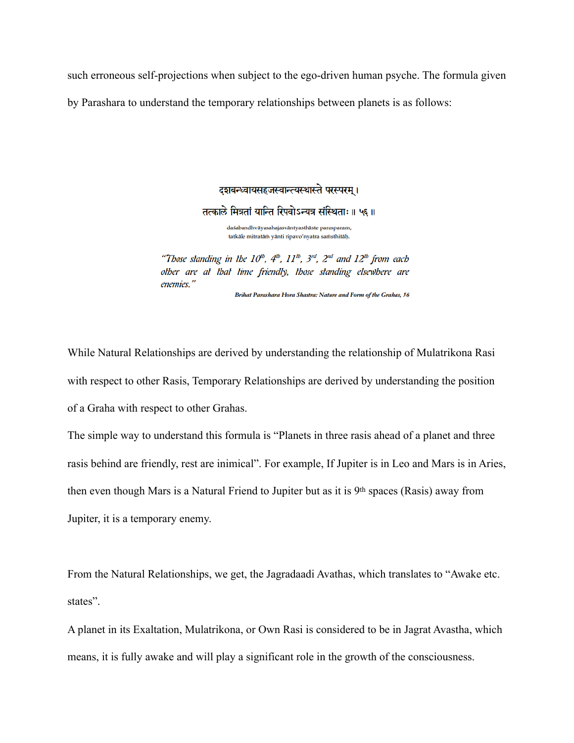such erroneous self-projections when subject to the ego-driven human psyche. The formula given by Parashara to understand the temporary relationships between planets is as follows:

दशबन्ध्वायसहजस्वान्त्यस्थास्ते परस्परम् ।

तत्काले मित्रतां यान्ति रिपवोऽन्यत्र संस्थिताः॥ ५६॥

daśabandhvāyasahajasvāntyasthāste parasparam, tatkāle mitratām yānti ripavo'nyatra samsthitāņ.

"Those standing in the  $10^{1b}$ ,  $4^{1b}$ ,  $11^{1b}$ ,  $3^{rd}$ ,  $2^{nd}$  and  $12^{1b}$  from each other are at that time friendly, those standing elsewhere are enemies."

Brihat Parashara Hora Shastra: Nature and Form of the Grahas, 56

While Natural Relationships are derived by understanding the relationship of Mulatrikona Rasi with respect to other Rasis, Temporary Relationships are derived by understanding the position of a Graha with respect to other Grahas.

The simple way to understand this formula is "Planets in three rasis ahead of a planet and three rasis behind are friendly, rest are inimical". For example, If Jupiter is in Leo and Mars is in Aries, then even though Mars is a Natural Friend to Jupiter but as it is 9th spaces (Rasis) away from Jupiter, it is a temporary enemy.

From the Natural Relationships, we get, the Jagradaadi Avathas, which translates to "Awake etc. states".

A planet in its Exaltation, Mulatrikona, or Own Rasi is considered to be in Jagrat Avastha, which means, it is fully awake and will play a significant role in the growth of the consciousness.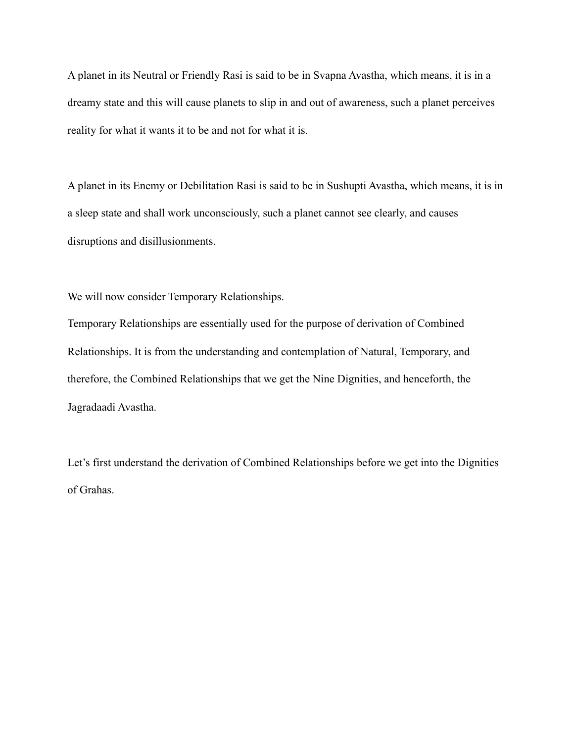A planet in its Neutral or Friendly Rasi is said to be in Svapna Avastha, which means, it is in a dreamy state and this will cause planets to slip in and out of awareness, such a planet perceives reality for what it wants it to be and not for what it is.

A planet in its Enemy or Debilitation Rasi is said to be in Sushupti Avastha, which means, it is in a sleep state and shall work unconsciously, such a planet cannot see clearly, and causes disruptions and disillusionments.

We will now consider Temporary Relationships.

Temporary Relationships are essentially used for the purpose of derivation of Combined Relationships. It is from the understanding and contemplation of Natural, Temporary, and therefore, the Combined Relationships that we get the Nine Dignities, and henceforth, the Jagradaadi Avastha.

Let's first understand the derivation of Combined Relationships before we get into the Dignities of Grahas.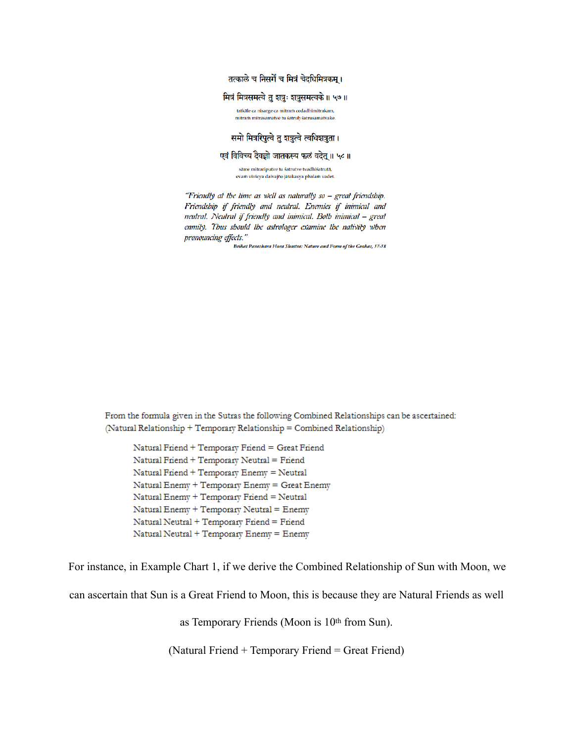तत्काले च निसर्गे च मित्रं चेदधिमित्रकम् ।

### मित्रं मित्रसमत्वे तु शत्रुः शत्रुसमत्वके ॥ ५७ ॥

tatkāle ca nisarge ca mitram cedadhimitrakam, mitram mitrasamatve tu śatruh śatrusamatvake.

### समो मित्ररिपुत्वे तु शत्रुत्वे त्वधिशत्रुता।

### एवं विविच्य दैवज्ञो जातकस्य फलं वदेत् ॥ ५८ ॥

săme mitrariputve tu śatrutve tvadhiśatrută, evam vivicya daivajño jātakasya phalam vadet.

"Friendly at the time as well as naturally so - great friendship. Friendsbip if friendly and neutral. Enemies if inimical and neutral. Neutral if friendly and inimical. Both inimical - great enmity. Thus should the astrologer examine the nativity when pronouncing effects."

Brihat Parashara Hora Shastra: Nature and Form of the Grahas, 57-58

From the formula given in the Sutras the following Combined Relationships can be ascertained: (Natural Relationship + Temporary Relationship = Combined Relationship)

Natural Friend + Temporary Friend = Great Friend Natural Friend + Temporary Neutral = Friend Natural Friend + Temporary Enemy = Neutral Natural Enemy + Temporary Enemy = Great Enemy Natural Enemy + Temporary Friend = Neutral Natural Enemy + Temporary Neutral = Enemy Natural Neutral + Temporary Friend = Friend Natural Neutral + Temporary Enemy = Enemy

For instance, in Example Chart 1, if we derive the Combined Relationship of Sun with Moon, we

can ascertain that Sun is a Great Friend to Moon, this is because they are Natural Friends as well

as Temporary Friends (Moon is 10th from Sun).

(Natural Friend + Temporary Friend = Great Friend)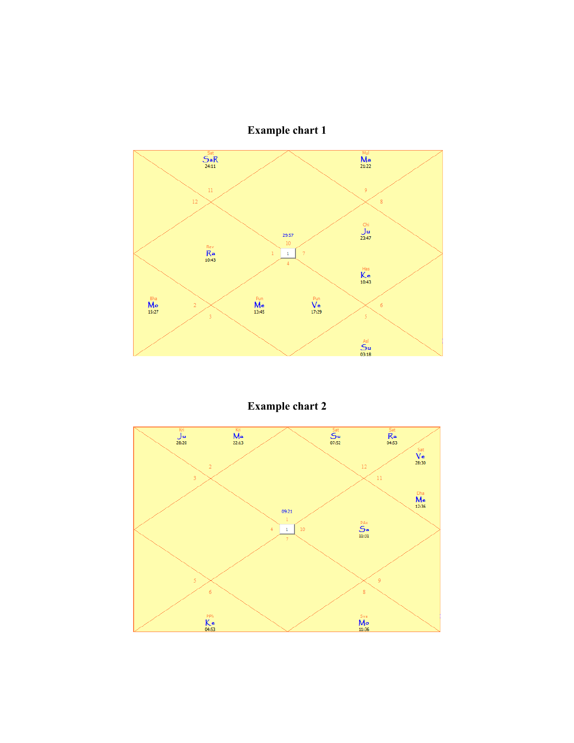



**Example chart 2**

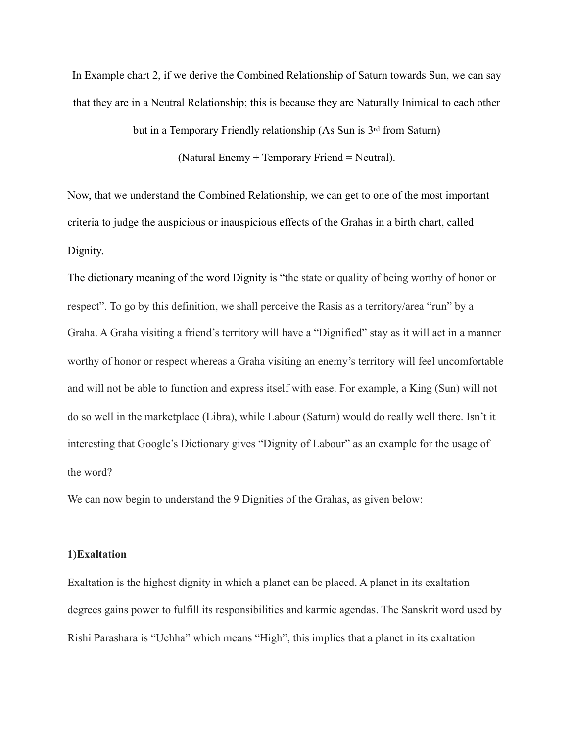In Example chart 2, if we derive the Combined Relationship of Saturn towards Sun, we can say that they are in a Neutral Relationship; this is because they are Naturally Inimical to each other

but in a Temporary Friendly relationship (As Sun is 3rd from Saturn)

(Natural Enemy + Temporary Friend = Neutral).

Now, that we understand the Combined Relationship, we can get to one of the most important criteria to judge the auspicious or inauspicious effects of the Grahas in a birth chart, called Dignity.

The dictionary meaning of the word Dignity is "the state or quality of being worthy of honor or respect". To go by this definition, we shall perceive the Rasis as a territory/area "run" by a Graha. A Graha visiting a friend's territory will have a "Dignified" stay as it will act in a manner worthy of honor or respect whereas a Graha visiting an enemy's territory will feel uncomfortable and will not be able to function and express itself with ease. For example, a King (Sun) will not do so well in the marketplace (Libra), while Labour (Saturn) would do really well there. Isn't it interesting that Google's Dictionary gives "Dignity of Labour" as an example for the usage of the word?

We can now begin to understand the 9 Dignities of the Grahas, as given below:

# **1)Exaltation**

Exaltation is the highest dignity in which a planet can be placed. A planet in its exaltation degrees gains power to fulfill its responsibilities and karmic agendas. The Sanskrit word used by Rishi Parashara is "Uchha" which means "High", this implies that a planet in its exaltation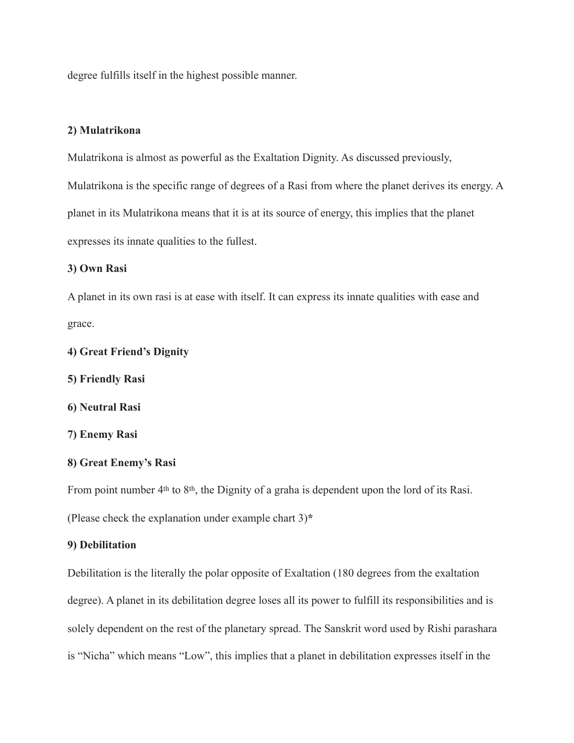degree fulfills itself in the highest possible manner.

# **2) Mulatrikona**

Mulatrikona is almost as powerful as the Exaltation Dignity. As discussed previously,

Mulatrikona is the specific range of degrees of a Rasi from where the planet derives its energy. A planet in its Mulatrikona means that it is at its source of energy, this implies that the planet expresses its innate qualities to the fullest.

# **3) Own Rasi**

A planet in its own rasi is at ease with itself. It can express its innate qualities with ease and grace.

## **4) Great Friend's Dignity**

**5) Friendly Rasi** 

**6) Neutral Rasi** 

**7) Enemy Rasi** 

### **8) Great Enemy's Rasi**

From point number 4<sup>th</sup> to 8<sup>th</sup>, the Dignity of a graha is dependent upon the lord of its Rasi.

(Please check the explanation under example chart 3)**\***

### **9) Debilitation**

Debilitation is the literally the polar opposite of Exaltation (180 degrees from the exaltation degree). A planet in its debilitation degree loses all its power to fulfill its responsibilities and is solely dependent on the rest of the planetary spread. The Sanskrit word used by Rishi parashara is "Nicha" which means "Low", this implies that a planet in debilitation expresses itself in the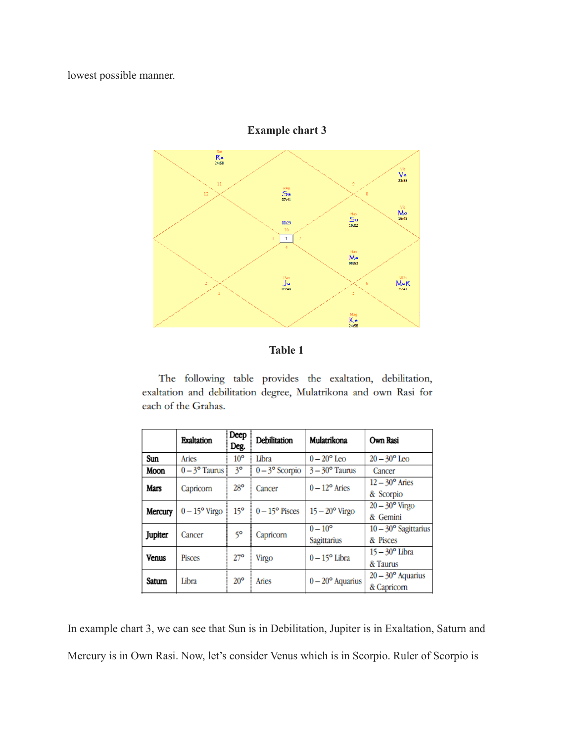lowest possible manner.



**Example chart 3**

The following table provides the exaltation, debilitation, exaltation and debilitation degree, Mulatrikona and own Rasi for each of the Grahas.

|              | <b>Exaltation</b>    | Deep<br>Deg.    | Debilitation          | Mulatrikona                     | Own Rasi                                |
|--------------|----------------------|-----------------|-----------------------|---------------------------------|-----------------------------------------|
| Sun          | Aries                | 10 <sup>o</sup> | Libra                 | $0-20^{\circ}$ Leo              | $20-30^{\circ}$ Leo                     |
| Moon         | $0-3^{\circ}$ Taurus | $3^{\circ}$     | $0-3^{\circ}$ Scorpio | $3 - 30^{\circ}$ Taurus         | Cancer                                  |
| Mars         | Capricorn            | $28^{\circ}$    | Cancer                | $0-12^{\circ}$ Aries            | $12-30^{\circ}$ Aries<br>& Scorpio      |
| Mercury      | $0-15^{\circ}$ Virgo | $15^{\circ}$    | $0-15^{\circ}$ Pisces | $15-20$ <sup>o</sup> Virgo      | $20-30^{\circ}$ Virgo<br>& Gemini       |
| Jupiter      | Cancer               | 50              | Capricorn             | $0 - 10^{\circ}$<br>Sagittarius | $10-30^{\circ}$ Sagittarius<br>& Pisces |
| <b>Venus</b> | <b>Pisces</b>        | $27^{\circ}$    | Virgo                 | $0-15^{\circ}$ Libra            | $15-30^{\circ}$ Libra<br>& Taurus       |
| Satum        | Libra                | $20^{\circ}$    | Aries                 | $0-20^{\circ}$ Aquarius         | $20-30^{\circ}$ Aquarius<br>& Capricorn |

In example chart 3, we can see that Sun is in Debilitation, Jupiter is in Exaltation, Saturn and Mercury is in Own Rasi. Now, let's consider Venus which is in Scorpio. Ruler of Scorpio is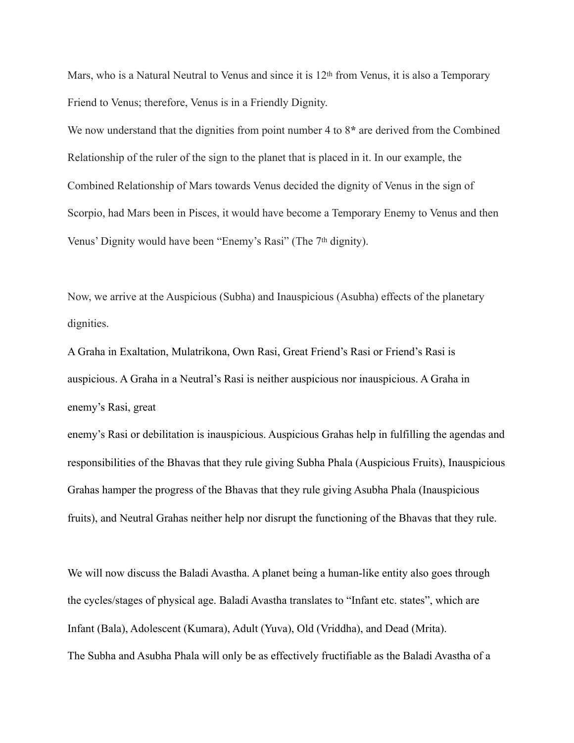Mars, who is a Natural Neutral to Venus and since it is 12<sup>th</sup> from Venus, it is also a Temporary Friend to Venus; therefore, Venus is in a Friendly Dignity.

We now understand that the dignities from point number 4 to 8**\*** are derived from the Combined Relationship of the ruler of the sign to the planet that is placed in it. In our example, the Combined Relationship of Mars towards Venus decided the dignity of Venus in the sign of Scorpio, had Mars been in Pisces, it would have become a Temporary Enemy to Venus and then Venus' Dignity would have been "Enemy's Rasi" (The 7th dignity).

Now, we arrive at the Auspicious (Subha) and Inauspicious (Asubha) effects of the planetary dignities.

A Graha in Exaltation, Mulatrikona, Own Rasi, Great Friend's Rasi or Friend's Rasi is auspicious. A Graha in a Neutral's Rasi is neither auspicious nor inauspicious. A Graha in enemy's Rasi, great

enemy's Rasi or debilitation is inauspicious. Auspicious Grahas help in fulfilling the agendas and responsibilities of the Bhavas that they rule giving Subha Phala (Auspicious Fruits), Inauspicious Grahas hamper the progress of the Bhavas that they rule giving Asubha Phala (Inauspicious fruits), and Neutral Grahas neither help nor disrupt the functioning of the Bhavas that they rule.

We will now discuss the Baladi Avastha. A planet being a human-like entity also goes through the cycles/stages of physical age. Baladi Avastha translates to "Infant etc. states", which are Infant (Bala), Adolescent (Kumara), Adult (Yuva), Old (Vriddha), and Dead (Mrita). The Subha and Asubha Phala will only be as effectively fructifiable as the Baladi Avastha of a